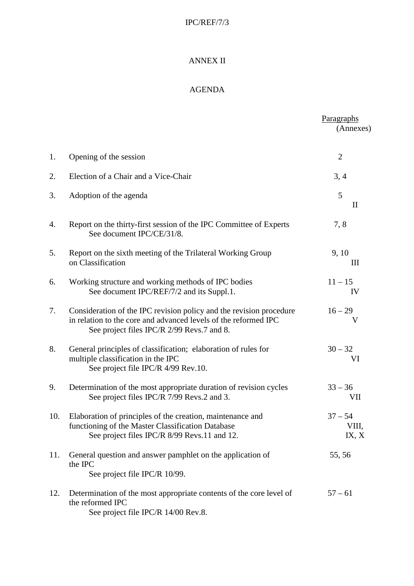## IPC/REF/7/3

## ANNEX II

## AGENDA

|     |                                                                                                                                                                                      | Paragraphs<br>(Annexes)              |
|-----|--------------------------------------------------------------------------------------------------------------------------------------------------------------------------------------|--------------------------------------|
| 1.  | Opening of the session                                                                                                                                                               | $\overline{2}$                       |
| 2.  | Election of a Chair and a Vice-Chair                                                                                                                                                 | 3, 4                                 |
| 3.  | Adoption of the agenda                                                                                                                                                               | 5<br>$\mathop{\mathrm{II}}\nolimits$ |
| 4.  | Report on the thirty-first session of the IPC Committee of Experts<br>See document IPC/CE/31/8.                                                                                      | 7,8                                  |
| 5.  | Report on the sixth meeting of the Trilateral Working Group<br>on Classification                                                                                                     | 9, 10<br>Ш                           |
| 6.  | Working structure and working methods of IPC bodies<br>See document IPC/REF/7/2 and its Suppl.1.                                                                                     | $11 - 15$<br>IV                      |
| 7.  | Consideration of the IPC revision policy and the revision procedure<br>in relation to the core and advanced levels of the reformed IPC<br>See project files IPC/R 2/99 Revs.7 and 8. | $16 - 29$<br>V                       |
| 8.  | General principles of classification; elaboration of rules for<br>multiple classification in the IPC<br>See project file IPC/R 4/99 Rev.10.                                          | $30 - 32$<br>VI                      |
| 9.  | Determination of the most appropriate duration of revision cycles<br>See project files IPC/R 7/99 Revs.2 and 3.                                                                      | $33 - 36$<br>VII                     |
| 10. | Elaboration of principles of the creation, maintenance and<br>functioning of the Master Classification Database<br>See project files IPC/R 8/99 Revs.11 and 12.                      | $37 - 54$<br>VIII,<br>IX, X          |
| 11. | General question and answer pamphlet on the application of<br>the IPC<br>See project file IPC/R 10/99.                                                                               | 55,56                                |
| 12. | Determination of the most appropriate contents of the core level of<br>the reformed IPC<br>See project file IPC/R 14/00 Rev.8.                                                       | $57 - 61$                            |